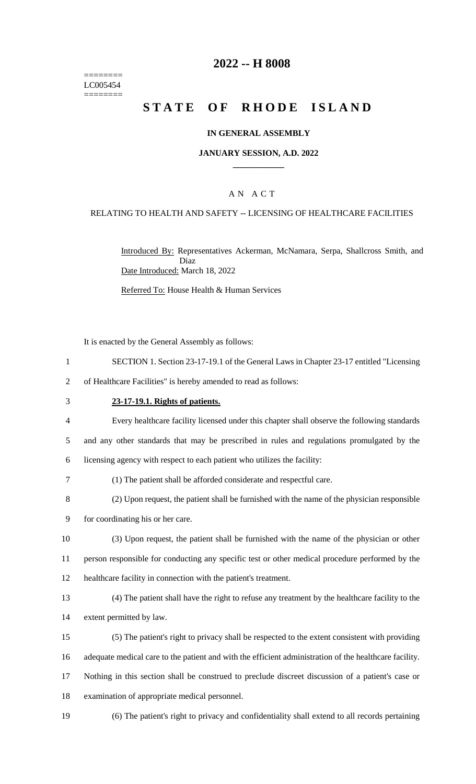======== LC005454 ========

# **2022 -- H 8008**

# **STATE OF RHODE ISLAND**

### **IN GENERAL ASSEMBLY**

### **JANUARY SESSION, A.D. 2022 \_\_\_\_\_\_\_\_\_\_\_\_**

## A N A C T

### RELATING TO HEALTH AND SAFETY -- LICENSING OF HEALTHCARE FACILITIES

Introduced By: Representatives Ackerman, McNamara, Serpa, Shallcross Smith, and Diaz Date Introduced: March 18, 2022

Referred To: House Health & Human Services

It is enacted by the General Assembly as follows:

1 SECTION 1. Section 23-17-19.1 of the General Laws in Chapter 23-17 entitled "Licensing

2 of Healthcare Facilities" is hereby amended to read as follows:

#### 3 **23-17-19.1. Rights of patients.**

4 Every healthcare facility licensed under this chapter shall observe the following standards 5 and any other standards that may be prescribed in rules and regulations promulgated by the

6 licensing agency with respect to each patient who utilizes the facility:

- 7 (1) The patient shall be afforded considerate and respectful care.
- 8 (2) Upon request, the patient shall be furnished with the name of the physician responsible

9 for coordinating his or her care.

10 (3) Upon request, the patient shall be furnished with the name of the physician or other 11 person responsible for conducting any specific test or other medical procedure performed by the 12 healthcare facility in connection with the patient's treatment.

13 (4) The patient shall have the right to refuse any treatment by the healthcare facility to the 14 extent permitted by law.

15 (5) The patient's right to privacy shall be respected to the extent consistent with providing 16 adequate medical care to the patient and with the efficient administration of the healthcare facility.

- 17 Nothing in this section shall be construed to preclude discreet discussion of a patient's case or 18 examination of appropriate medical personnel.
- 19 (6) The patient's right to privacy and confidentiality shall extend to all records pertaining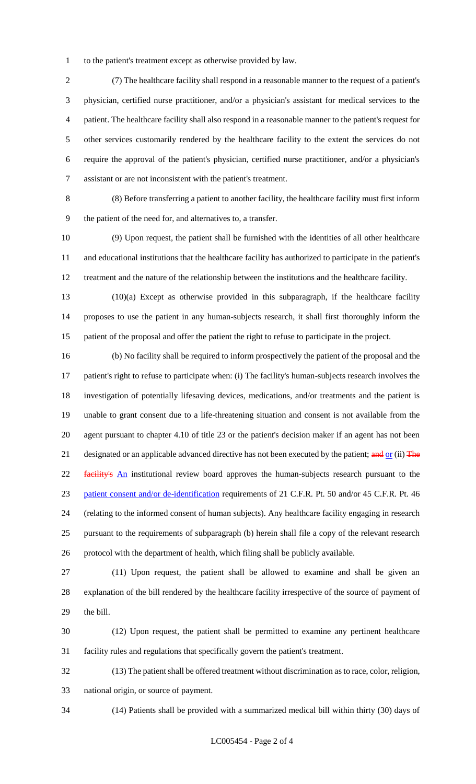to the patient's treatment except as otherwise provided by law.

 (7) The healthcare facility shall respond in a reasonable manner to the request of a patient's physician, certified nurse practitioner, and/or a physician's assistant for medical services to the patient. The healthcare facility shall also respond in a reasonable manner to the patient's request for other services customarily rendered by the healthcare facility to the extent the services do not require the approval of the patient's physician, certified nurse practitioner, and/or a physician's assistant or are not inconsistent with the patient's treatment.

 (8) Before transferring a patient to another facility, the healthcare facility must first inform the patient of the need for, and alternatives to, a transfer.

 (9) Upon request, the patient shall be furnished with the identities of all other healthcare and educational institutions that the healthcare facility has authorized to participate in the patient's treatment and the nature of the relationship between the institutions and the healthcare facility.

 (10)(a) Except as otherwise provided in this subparagraph, if the healthcare facility proposes to use the patient in any human-subjects research, it shall first thoroughly inform the patient of the proposal and offer the patient the right to refuse to participate in the project.

 (b) No facility shall be required to inform prospectively the patient of the proposal and the patient's right to refuse to participate when: (i) The facility's human-subjects research involves the investigation of potentially lifesaving devices, medications, and/or treatments and the patient is unable to grant consent due to a life-threatening situation and consent is not available from the agent pursuant to chapter 4.10 of title 23 or the patient's decision maker if an agent has not been 21 designated or an applicable advanced directive has not been executed by the patient; and or (ii) The 22 facility's An institutional review board approves the human-subjects research pursuant to the patient consent and/or de-identification requirements of 21 C.F.R. Pt. 50 and/or 45 C.F.R. Pt. 46 (relating to the informed consent of human subjects). Any healthcare facility engaging in research pursuant to the requirements of subparagraph (b) herein shall file a copy of the relevant research protocol with the department of health, which filing shall be publicly available.

 (11) Upon request, the patient shall be allowed to examine and shall be given an explanation of the bill rendered by the healthcare facility irrespective of the source of payment of the bill.

 (12) Upon request, the patient shall be permitted to examine any pertinent healthcare facility rules and regulations that specifically govern the patient's treatment.

 (13) The patient shall be offered treatment without discrimination as to race, color, religion, national origin, or source of payment.

(14) Patients shall be provided with a summarized medical bill within thirty (30) days of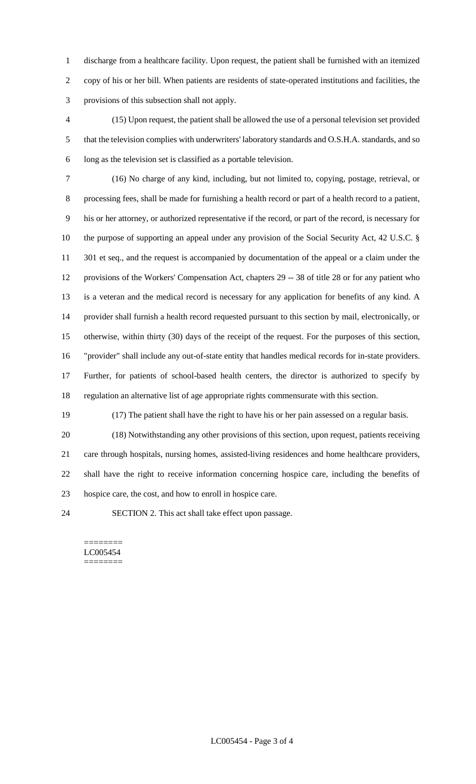discharge from a healthcare facility. Upon request, the patient shall be furnished with an itemized copy of his or her bill. When patients are residents of state-operated institutions and facilities, the provisions of this subsection shall not apply.

 (15) Upon request, the patient shall be allowed the use of a personal television set provided that the television complies with underwriters' laboratory standards and O.S.H.A. standards, and so long as the television set is classified as a portable television.

 (16) No charge of any kind, including, but not limited to, copying, postage, retrieval, or processing fees, shall be made for furnishing a health record or part of a health record to a patient, his or her attorney, or authorized representative if the record, or part of the record, is necessary for the purpose of supporting an appeal under any provision of the Social Security Act, 42 U.S.C. § 11 301 et seq., and the request is accompanied by documentation of the appeal or a claim under the provisions of the Workers' Compensation Act, chapters 29 -- 38 of title 28 or for any patient who is a veteran and the medical record is necessary for any application for benefits of any kind. A provider shall furnish a health record requested pursuant to this section by mail, electronically, or otherwise, within thirty (30) days of the receipt of the request. For the purposes of this section, "provider" shall include any out-of-state entity that handles medical records for in-state providers. Further, for patients of school-based health centers, the director is authorized to specify by regulation an alternative list of age appropriate rights commensurate with this section.

(17) The patient shall have the right to have his or her pain assessed on a regular basis.

 (18) Notwithstanding any other provisions of this section, upon request, patients receiving care through hospitals, nursing homes, assisted-living residences and home healthcare providers, shall have the right to receive information concerning hospice care, including the benefits of hospice care, the cost, and how to enroll in hospice care.

SECTION 2. This act shall take effect upon passage.

======== LC005454 ========